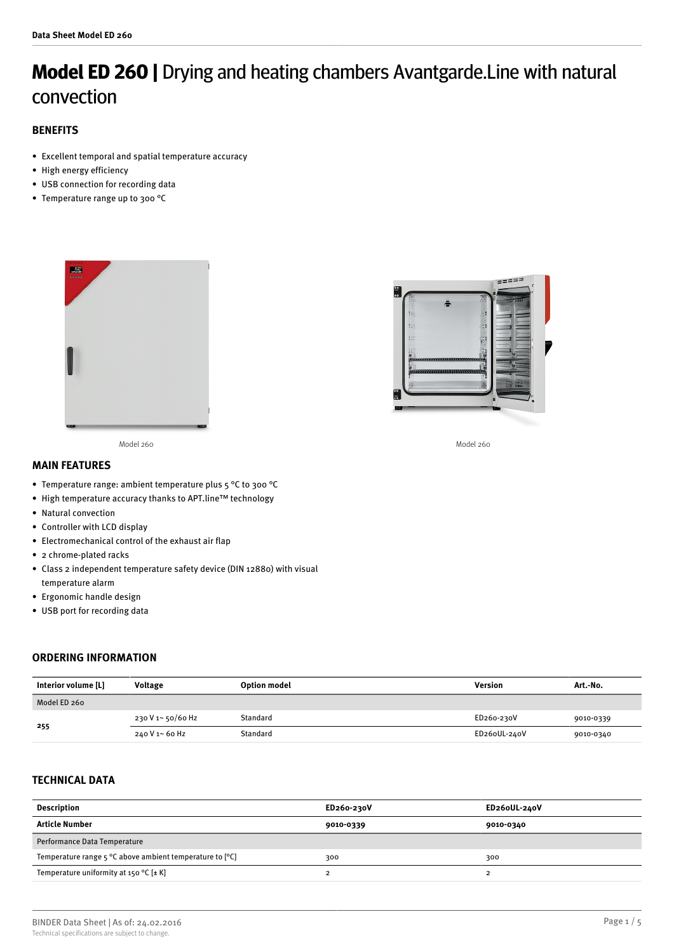# **Model ED 260 |** Drying and heating chambers Avantgarde.Line with natural convection

# **BENEFITS**

- Excellent temporal and spatial temperature accuracy
- High energy efficiency
- USB connection for recording data
- Temperature range up to 300 °C





Model 260 Model 260



## **MAIN FEATURES**

- Temperature range: ambient temperature plus 5 °C to 300 °C
- High temperature accuracy thanks to APT.line™ technology
- Natural convection
- Controller with LCD display
- Electromechanical control of the exhaust air flap
- 2 chrome-plated racks
- Class 2 independent temperature safety device (DIN 12880) with visual temperature alarm
- Ergonomic handle design
- USB port for recording data

## **ORDERING INFORMATION**

| Interior volume [L] | <b>Voltage</b>    | Option model | Version      | Art.-No.  |
|---------------------|-------------------|--------------|--------------|-----------|
| Model ED 260        |                   |              |              |           |
| 255                 | 230 V 1~ 50/60 Hz | Standard     | ED260-230V   | 9010-0339 |
|                     | 240 V 1~ 60 Hz    | Standard     | ED26oUL-240V | 9010-0340 |

## **TECHNICAL DATA**

| <b>Description</b>                                                         | ED260-230V | ED26oUL-240V |
|----------------------------------------------------------------------------|------------|--------------|
| Article Number                                                             | 9010-0339  | 9010-0340    |
| Performance Data Temperature                                               |            |              |
| Temperature range $5^{\circ}$ C above ambient temperature to $[^{\circ}C]$ | 300        | 300          |
| Temperature uniformity at 150 °C $[\pm K]$                                 |            |              |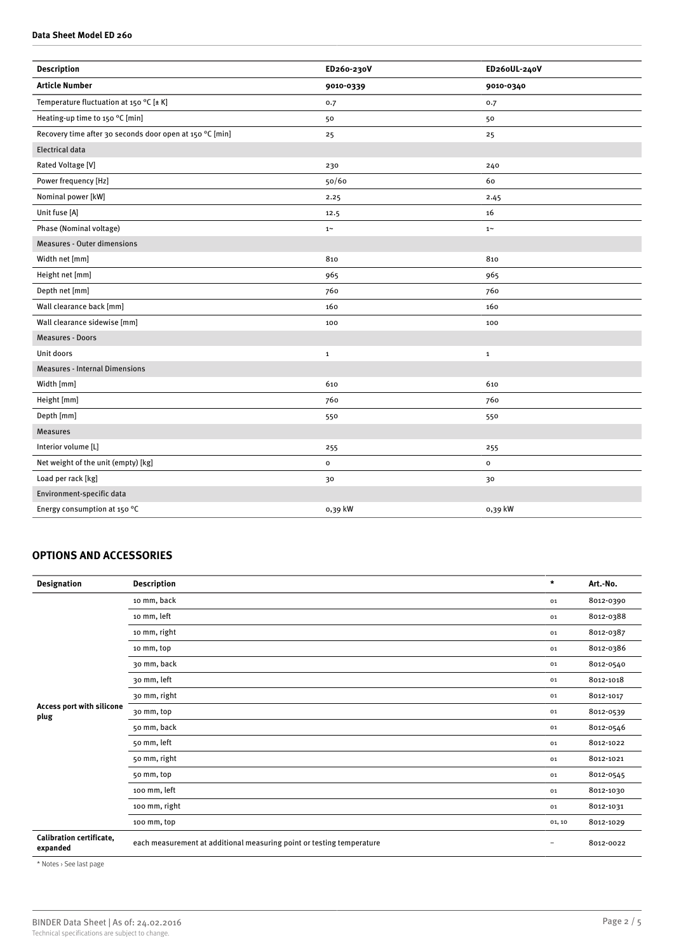#### **Data Sheet Model ED 260**

| <b>Description</b>                                       | ED260-230V   | ED26oUL-240V   |
|----------------------------------------------------------|--------------|----------------|
| <b>Article Number</b>                                    | 9010-0339    | 9010-0340      |
| Temperature fluctuation at 150 °C [± K]                  | 0.7          | 0.7            |
| Heating-up time to 150 °C [min]                          | 50           | 50             |
| Recovery time after 30 seconds door open at 150 °C [min] | 25           | 25             |
| <b>Electrical data</b>                                   |              |                |
| Rated Voltage [V]                                        | 230          | 240            |
| Power frequency [Hz]                                     | 50/60        | 60             |
| Nominal power [kW]                                       | 2.25         | 2.45           |
| Unit fuse [A]                                            | 12.5         | 16             |
| Phase (Nominal voltage)                                  | $1\sim$      | $1 -$          |
| <b>Measures - Outer dimensions</b>                       |              |                |
| Width net [mm]                                           | 810          | 810            |
| Height net [mm]                                          | 965          | 965            |
| Depth net [mm]                                           | 760          | 760            |
| Wall clearance back [mm]                                 | 160          | 160            |
| Wall clearance sidewise [mm]                             | 100          | 100            |
| <b>Measures - Doors</b>                                  |              |                |
| Unit doors                                               | $\mathbf 1$  | $\mathbf{1}$   |
| <b>Measures - Internal Dimensions</b>                    |              |                |
| Width [mm]                                               | 610          | 610            |
| Height [mm]                                              | 760          | 760            |
| Depth [mm]                                               | 550          | 550            |
| <b>Measures</b>                                          |              |                |
| Interior volume [L]                                      | 255          | 255            |
| Net weight of the unit (empty) [kg]                      | $\mathbf{o}$ | $\mathsf{o}\,$ |
| Load per rack [kg]                                       | 30           | 30             |
| Environment-specific data                                |              |                |
| Energy consumption at 150 °C                             | 0,39 kW      | 0,39 kW        |

# **OPTIONS AND ACCESSORIES**

| <b>Designation</b>                   | <b>Description</b>                                                    | $\star$           | Art.-No.  |
|--------------------------------------|-----------------------------------------------------------------------|-------------------|-----------|
|                                      | 10 mm, back                                                           | 01                | 8012-0390 |
|                                      | 10 mm, left                                                           | 01                | 8012-0388 |
|                                      | 10 mm, right                                                          | 01                | 8012-0387 |
|                                      | 10 mm, top                                                            | 01                | 8012-0386 |
|                                      | 30 mm, back                                                           | 01                | 8012-0540 |
| Access port with silicone<br>plug    | 30 mm, left                                                           | 01                | 8012-1018 |
|                                      | 30 mm, right                                                          | 01                | 8012-1017 |
|                                      | 30 mm, top                                                            | 01                | 8012-0539 |
|                                      | 50 mm, back                                                           | 01                | 8012-0546 |
|                                      | 50 mm, left                                                           | 01                | 8012-1022 |
|                                      | 50 mm, right                                                          | 01                | 8012-1021 |
|                                      | 50 mm, top                                                            | 01                | 8012-0545 |
|                                      | 100 mm, left                                                          | 01                | 8012-1030 |
|                                      | 100 mm, right                                                         | 01                | 8012-1031 |
|                                      | 100 mm, top                                                           | 01, 10            | 8012-1029 |
| Calibration certificate,<br>expanded | each measurement at additional measuring point or testing temperature | $\qquad \qquad -$ | 8012-0022 |

\* Notes › See last page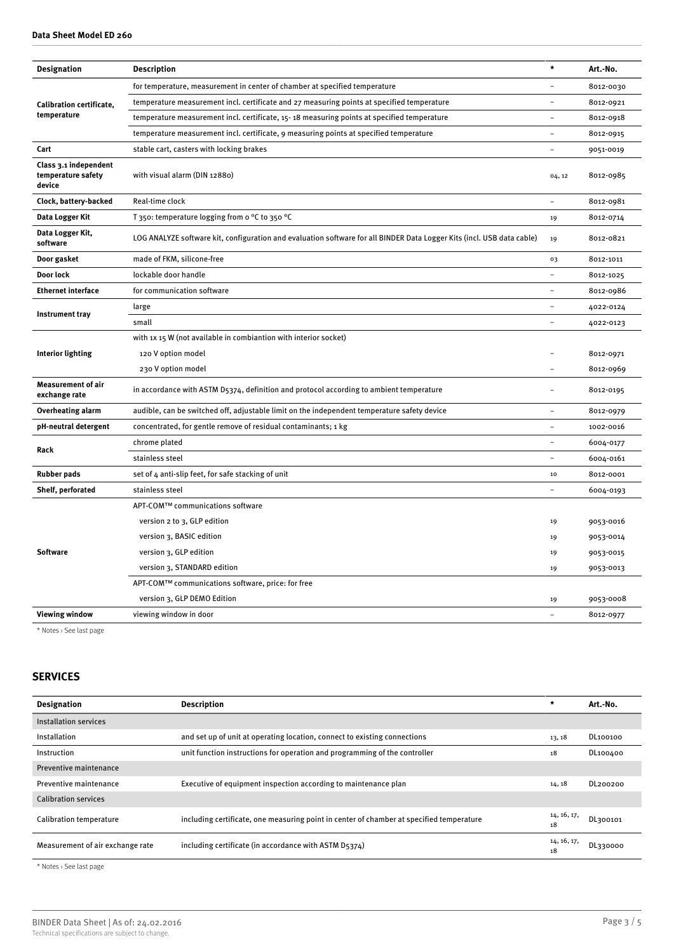| <b>Designation</b><br><b>Description</b><br>Art.-No.<br>for temperature, measurement in center of chamber at specified temperature<br>8012-0030<br>temperature measurement incl. certificate and 27 measuring points at specified temperature<br>$\overline{a}$<br>8012-0921<br><b>Calibration certificate,</b><br>temperature<br>temperature measurement incl. certificate, 15-18 measuring points at specified temperature<br>8012-0918<br>÷<br>temperature measurement incl. certificate, 9 measuring points at specified temperature<br>8012-0915<br>$\overline{\phantom{0}}$<br>Cart<br>stable cart, casters with locking brakes<br>$\overline{a}$<br>9051-0019<br>Class 3.1 independent<br>temperature safety<br>with visual alarm (DIN 12880)<br>8012-0985<br>04, 12<br>device<br>Real-time clock<br>Clock, battery-backed<br>$\overline{a}$<br>8012-0981<br>Data Logger Kit<br>T 350: temperature logging from o °C to 350 °C<br>8012-0714<br>19<br>Data Logger Kit,<br>LOG ANALYZE software kit, configuration and evaluation software for all BINDER Data Logger Kits (incl. USB data cable)<br>8012-0821<br>19<br>software<br>Door gasket<br>made of FKM, silicone-free<br>8012-1011<br>03<br>Door lock<br>lockable door handle<br>8012-1025<br><b>Ethernet interface</b><br>for communication software<br>$\overline{a}$<br>8012-0986<br>large<br>4022-0124<br>Instrument tray<br>small<br>$\overline{a}$<br>4022-0123<br>with 1x 15 W (not available in combiantion with interior socket)<br>Interior lighting<br>120 V option model<br>8012-0971<br>230 V option model<br>8012-0969<br>$\overline{\phantom{0}}$<br><b>Measurement of air</b><br>in accordance with ASTM D5374, definition and protocol according to ambient temperature<br>8012-0195<br>exchange rate<br><b>Overheating alarm</b><br>audible, can be switched off, adjustable limit on the independent temperature safety device<br>$\overline{\phantom{0}}$<br>8012-0979<br>pH-neutral detergent<br>$\overline{a}$<br>concentrated, for gentle remove of residual contaminants; 1 kg<br>1002-0016<br>chrome plated<br>6004-0177<br>Rack<br>stainless steel<br>6004-0161<br><b>Rubber pads</b><br>set of 4 anti-slip feet, for safe stacking of unit<br>10<br>8012-0001<br>Shelf, perforated<br>stainless steel<br>6004-0193<br>APT-COM™ communications software<br>version 2 to 3, GLP edition<br>19<br>9053-0016<br>version 3, BASIC edition<br>9053-0014<br>19<br><b>Software</b><br>version 3, GLP edition<br>9053-0015<br>19<br>version 3, STANDARD edition<br>9053-0013<br>19 |  |         |  |
|-------------------------------------------------------------------------------------------------------------------------------------------------------------------------------------------------------------------------------------------------------------------------------------------------------------------------------------------------------------------------------------------------------------------------------------------------------------------------------------------------------------------------------------------------------------------------------------------------------------------------------------------------------------------------------------------------------------------------------------------------------------------------------------------------------------------------------------------------------------------------------------------------------------------------------------------------------------------------------------------------------------------------------------------------------------------------------------------------------------------------------------------------------------------------------------------------------------------------------------------------------------------------------------------------------------------------------------------------------------------------------------------------------------------------------------------------------------------------------------------------------------------------------------------------------------------------------------------------------------------------------------------------------------------------------------------------------------------------------------------------------------------------------------------------------------------------------------------------------------------------------------------------------------------------------------------------------------------------------------------------------------------------------------------------------------------------------------------------------------------------------------------------------------------------------------------------------------------------------------------------------------------------------------------------------------------------------------------------------------------------------------------------------------------------------------------------------------------------------------------------------------------------------------------------------------------|--|---------|--|
|                                                                                                                                                                                                                                                                                                                                                                                                                                                                                                                                                                                                                                                                                                                                                                                                                                                                                                                                                                                                                                                                                                                                                                                                                                                                                                                                                                                                                                                                                                                                                                                                                                                                                                                                                                                                                                                                                                                                                                                                                                                                                                                                                                                                                                                                                                                                                                                                                                                                                                                                                                   |  | $\star$ |  |
|                                                                                                                                                                                                                                                                                                                                                                                                                                                                                                                                                                                                                                                                                                                                                                                                                                                                                                                                                                                                                                                                                                                                                                                                                                                                                                                                                                                                                                                                                                                                                                                                                                                                                                                                                                                                                                                                                                                                                                                                                                                                                                                                                                                                                                                                                                                                                                                                                                                                                                                                                                   |  |         |  |
|                                                                                                                                                                                                                                                                                                                                                                                                                                                                                                                                                                                                                                                                                                                                                                                                                                                                                                                                                                                                                                                                                                                                                                                                                                                                                                                                                                                                                                                                                                                                                                                                                                                                                                                                                                                                                                                                                                                                                                                                                                                                                                                                                                                                                                                                                                                                                                                                                                                                                                                                                                   |  |         |  |
|                                                                                                                                                                                                                                                                                                                                                                                                                                                                                                                                                                                                                                                                                                                                                                                                                                                                                                                                                                                                                                                                                                                                                                                                                                                                                                                                                                                                                                                                                                                                                                                                                                                                                                                                                                                                                                                                                                                                                                                                                                                                                                                                                                                                                                                                                                                                                                                                                                                                                                                                                                   |  |         |  |
|                                                                                                                                                                                                                                                                                                                                                                                                                                                                                                                                                                                                                                                                                                                                                                                                                                                                                                                                                                                                                                                                                                                                                                                                                                                                                                                                                                                                                                                                                                                                                                                                                                                                                                                                                                                                                                                                                                                                                                                                                                                                                                                                                                                                                                                                                                                                                                                                                                                                                                                                                                   |  |         |  |
|                                                                                                                                                                                                                                                                                                                                                                                                                                                                                                                                                                                                                                                                                                                                                                                                                                                                                                                                                                                                                                                                                                                                                                                                                                                                                                                                                                                                                                                                                                                                                                                                                                                                                                                                                                                                                                                                                                                                                                                                                                                                                                                                                                                                                                                                                                                                                                                                                                                                                                                                                                   |  |         |  |
|                                                                                                                                                                                                                                                                                                                                                                                                                                                                                                                                                                                                                                                                                                                                                                                                                                                                                                                                                                                                                                                                                                                                                                                                                                                                                                                                                                                                                                                                                                                                                                                                                                                                                                                                                                                                                                                                                                                                                                                                                                                                                                                                                                                                                                                                                                                                                                                                                                                                                                                                                                   |  |         |  |
|                                                                                                                                                                                                                                                                                                                                                                                                                                                                                                                                                                                                                                                                                                                                                                                                                                                                                                                                                                                                                                                                                                                                                                                                                                                                                                                                                                                                                                                                                                                                                                                                                                                                                                                                                                                                                                                                                                                                                                                                                                                                                                                                                                                                                                                                                                                                                                                                                                                                                                                                                                   |  |         |  |
|                                                                                                                                                                                                                                                                                                                                                                                                                                                                                                                                                                                                                                                                                                                                                                                                                                                                                                                                                                                                                                                                                                                                                                                                                                                                                                                                                                                                                                                                                                                                                                                                                                                                                                                                                                                                                                                                                                                                                                                                                                                                                                                                                                                                                                                                                                                                                                                                                                                                                                                                                                   |  |         |  |
|                                                                                                                                                                                                                                                                                                                                                                                                                                                                                                                                                                                                                                                                                                                                                                                                                                                                                                                                                                                                                                                                                                                                                                                                                                                                                                                                                                                                                                                                                                                                                                                                                                                                                                                                                                                                                                                                                                                                                                                                                                                                                                                                                                                                                                                                                                                                                                                                                                                                                                                                                                   |  |         |  |
|                                                                                                                                                                                                                                                                                                                                                                                                                                                                                                                                                                                                                                                                                                                                                                                                                                                                                                                                                                                                                                                                                                                                                                                                                                                                                                                                                                                                                                                                                                                                                                                                                                                                                                                                                                                                                                                                                                                                                                                                                                                                                                                                                                                                                                                                                                                                                                                                                                                                                                                                                                   |  |         |  |
|                                                                                                                                                                                                                                                                                                                                                                                                                                                                                                                                                                                                                                                                                                                                                                                                                                                                                                                                                                                                                                                                                                                                                                                                                                                                                                                                                                                                                                                                                                                                                                                                                                                                                                                                                                                                                                                                                                                                                                                                                                                                                                                                                                                                                                                                                                                                                                                                                                                                                                                                                                   |  |         |  |
|                                                                                                                                                                                                                                                                                                                                                                                                                                                                                                                                                                                                                                                                                                                                                                                                                                                                                                                                                                                                                                                                                                                                                                                                                                                                                                                                                                                                                                                                                                                                                                                                                                                                                                                                                                                                                                                                                                                                                                                                                                                                                                                                                                                                                                                                                                                                                                                                                                                                                                                                                                   |  |         |  |
|                                                                                                                                                                                                                                                                                                                                                                                                                                                                                                                                                                                                                                                                                                                                                                                                                                                                                                                                                                                                                                                                                                                                                                                                                                                                                                                                                                                                                                                                                                                                                                                                                                                                                                                                                                                                                                                                                                                                                                                                                                                                                                                                                                                                                                                                                                                                                                                                                                                                                                                                                                   |  |         |  |
|                                                                                                                                                                                                                                                                                                                                                                                                                                                                                                                                                                                                                                                                                                                                                                                                                                                                                                                                                                                                                                                                                                                                                                                                                                                                                                                                                                                                                                                                                                                                                                                                                                                                                                                                                                                                                                                                                                                                                                                                                                                                                                                                                                                                                                                                                                                                                                                                                                                                                                                                                                   |  |         |  |
|                                                                                                                                                                                                                                                                                                                                                                                                                                                                                                                                                                                                                                                                                                                                                                                                                                                                                                                                                                                                                                                                                                                                                                                                                                                                                                                                                                                                                                                                                                                                                                                                                                                                                                                                                                                                                                                                                                                                                                                                                                                                                                                                                                                                                                                                                                                                                                                                                                                                                                                                                                   |  |         |  |
|                                                                                                                                                                                                                                                                                                                                                                                                                                                                                                                                                                                                                                                                                                                                                                                                                                                                                                                                                                                                                                                                                                                                                                                                                                                                                                                                                                                                                                                                                                                                                                                                                                                                                                                                                                                                                                                                                                                                                                                                                                                                                                                                                                                                                                                                                                                                                                                                                                                                                                                                                                   |  |         |  |
|                                                                                                                                                                                                                                                                                                                                                                                                                                                                                                                                                                                                                                                                                                                                                                                                                                                                                                                                                                                                                                                                                                                                                                                                                                                                                                                                                                                                                                                                                                                                                                                                                                                                                                                                                                                                                                                                                                                                                                                                                                                                                                                                                                                                                                                                                                                                                                                                                                                                                                                                                                   |  |         |  |
|                                                                                                                                                                                                                                                                                                                                                                                                                                                                                                                                                                                                                                                                                                                                                                                                                                                                                                                                                                                                                                                                                                                                                                                                                                                                                                                                                                                                                                                                                                                                                                                                                                                                                                                                                                                                                                                                                                                                                                                                                                                                                                                                                                                                                                                                                                                                                                                                                                                                                                                                                                   |  |         |  |
|                                                                                                                                                                                                                                                                                                                                                                                                                                                                                                                                                                                                                                                                                                                                                                                                                                                                                                                                                                                                                                                                                                                                                                                                                                                                                                                                                                                                                                                                                                                                                                                                                                                                                                                                                                                                                                                                                                                                                                                                                                                                                                                                                                                                                                                                                                                                                                                                                                                                                                                                                                   |  |         |  |
|                                                                                                                                                                                                                                                                                                                                                                                                                                                                                                                                                                                                                                                                                                                                                                                                                                                                                                                                                                                                                                                                                                                                                                                                                                                                                                                                                                                                                                                                                                                                                                                                                                                                                                                                                                                                                                                                                                                                                                                                                                                                                                                                                                                                                                                                                                                                                                                                                                                                                                                                                                   |  |         |  |
|                                                                                                                                                                                                                                                                                                                                                                                                                                                                                                                                                                                                                                                                                                                                                                                                                                                                                                                                                                                                                                                                                                                                                                                                                                                                                                                                                                                                                                                                                                                                                                                                                                                                                                                                                                                                                                                                                                                                                                                                                                                                                                                                                                                                                                                                                                                                                                                                                                                                                                                                                                   |  |         |  |
|                                                                                                                                                                                                                                                                                                                                                                                                                                                                                                                                                                                                                                                                                                                                                                                                                                                                                                                                                                                                                                                                                                                                                                                                                                                                                                                                                                                                                                                                                                                                                                                                                                                                                                                                                                                                                                                                                                                                                                                                                                                                                                                                                                                                                                                                                                                                                                                                                                                                                                                                                                   |  |         |  |
|                                                                                                                                                                                                                                                                                                                                                                                                                                                                                                                                                                                                                                                                                                                                                                                                                                                                                                                                                                                                                                                                                                                                                                                                                                                                                                                                                                                                                                                                                                                                                                                                                                                                                                                                                                                                                                                                                                                                                                                                                                                                                                                                                                                                                                                                                                                                                                                                                                                                                                                                                                   |  |         |  |
|                                                                                                                                                                                                                                                                                                                                                                                                                                                                                                                                                                                                                                                                                                                                                                                                                                                                                                                                                                                                                                                                                                                                                                                                                                                                                                                                                                                                                                                                                                                                                                                                                                                                                                                                                                                                                                                                                                                                                                                                                                                                                                                                                                                                                                                                                                                                                                                                                                                                                                                                                                   |  |         |  |
|                                                                                                                                                                                                                                                                                                                                                                                                                                                                                                                                                                                                                                                                                                                                                                                                                                                                                                                                                                                                                                                                                                                                                                                                                                                                                                                                                                                                                                                                                                                                                                                                                                                                                                                                                                                                                                                                                                                                                                                                                                                                                                                                                                                                                                                                                                                                                                                                                                                                                                                                                                   |  |         |  |
|                                                                                                                                                                                                                                                                                                                                                                                                                                                                                                                                                                                                                                                                                                                                                                                                                                                                                                                                                                                                                                                                                                                                                                                                                                                                                                                                                                                                                                                                                                                                                                                                                                                                                                                                                                                                                                                                                                                                                                                                                                                                                                                                                                                                                                                                                                                                                                                                                                                                                                                                                                   |  |         |  |
|                                                                                                                                                                                                                                                                                                                                                                                                                                                                                                                                                                                                                                                                                                                                                                                                                                                                                                                                                                                                                                                                                                                                                                                                                                                                                                                                                                                                                                                                                                                                                                                                                                                                                                                                                                                                                                                                                                                                                                                                                                                                                                                                                                                                                                                                                                                                                                                                                                                                                                                                                                   |  |         |  |
|                                                                                                                                                                                                                                                                                                                                                                                                                                                                                                                                                                                                                                                                                                                                                                                                                                                                                                                                                                                                                                                                                                                                                                                                                                                                                                                                                                                                                                                                                                                                                                                                                                                                                                                                                                                                                                                                                                                                                                                                                                                                                                                                                                                                                                                                                                                                                                                                                                                                                                                                                                   |  |         |  |
|                                                                                                                                                                                                                                                                                                                                                                                                                                                                                                                                                                                                                                                                                                                                                                                                                                                                                                                                                                                                                                                                                                                                                                                                                                                                                                                                                                                                                                                                                                                                                                                                                                                                                                                                                                                                                                                                                                                                                                                                                                                                                                                                                                                                                                                                                                                                                                                                                                                                                                                                                                   |  |         |  |
| APT-COM™ communications software, price: for free                                                                                                                                                                                                                                                                                                                                                                                                                                                                                                                                                                                                                                                                                                                                                                                                                                                                                                                                                                                                                                                                                                                                                                                                                                                                                                                                                                                                                                                                                                                                                                                                                                                                                                                                                                                                                                                                                                                                                                                                                                                                                                                                                                                                                                                                                                                                                                                                                                                                                                                 |  |         |  |
| version 3, GLP DEMO Edition<br>9053-0008<br>19                                                                                                                                                                                                                                                                                                                                                                                                                                                                                                                                                                                                                                                                                                                                                                                                                                                                                                                                                                                                                                                                                                                                                                                                                                                                                                                                                                                                                                                                                                                                                                                                                                                                                                                                                                                                                                                                                                                                                                                                                                                                                                                                                                                                                                                                                                                                                                                                                                                                                                                    |  |         |  |
| <b>Viewing window</b><br>viewing window in door<br>8012-0977<br>$\equiv$                                                                                                                                                                                                                                                                                                                                                                                                                                                                                                                                                                                                                                                                                                                                                                                                                                                                                                                                                                                                                                                                                                                                                                                                                                                                                                                                                                                                                                                                                                                                                                                                                                                                                                                                                                                                                                                                                                                                                                                                                                                                                                                                                                                                                                                                                                                                                                                                                                                                                          |  |         |  |

\* Notes › See last page

# **SERVICES**

| <b>Designation</b>               | <b>Description</b>                                                                       | $\star$           | Art.-No. |
|----------------------------------|------------------------------------------------------------------------------------------|-------------------|----------|
| Installation services            |                                                                                          |                   |          |
| Installation                     | and set up of unit at operating location, connect to existing connections                | 13, 18            | DL100100 |
| Instruction                      | unit function instructions for operation and programming of the controller               | 18                | DL100400 |
| Preventive maintenance           |                                                                                          |                   |          |
| Preventive maintenance           | Executive of equipment inspection according to maintenance plan                          | 14, 18            | DL200200 |
| <b>Calibration services</b>      |                                                                                          |                   |          |
| Calibration temperature          | including certificate, one measuring point in center of chamber at specified temperature | 14, 16, 17,<br>18 | DL300101 |
| Measurement of air exchange rate | including certificate (in accordance with ASTM D5374)                                    | 14, 16, 17,<br>18 | DL330000 |

\* Notes › See last page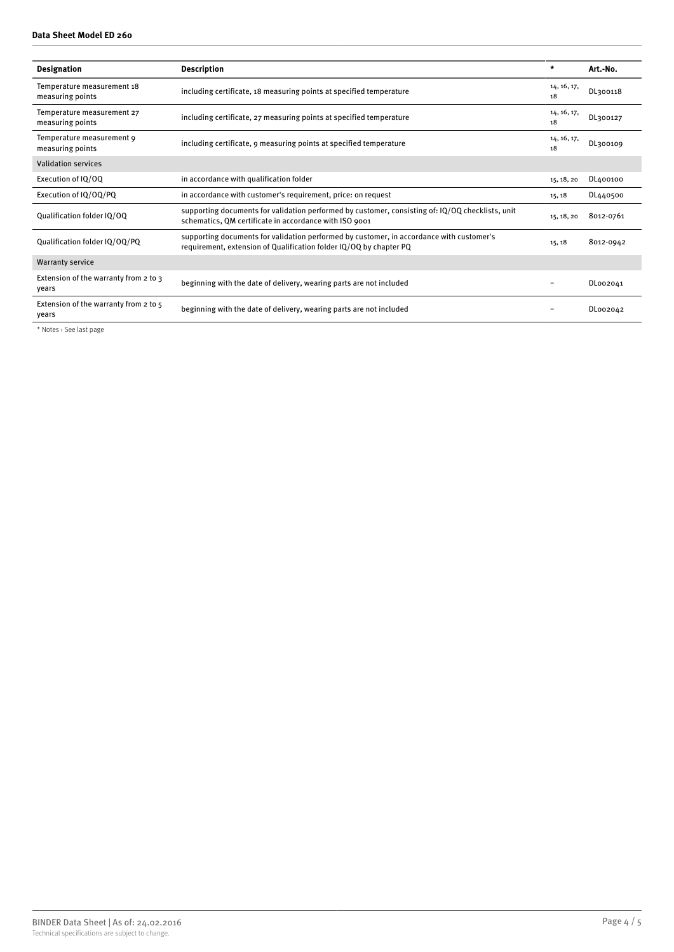#### **Data Sheet Model ED 260**

| <b>Designation</b>                             | <b>Description</b>                                                                                                                                             | $\star$           | Art.-No.  |
|------------------------------------------------|----------------------------------------------------------------------------------------------------------------------------------------------------------------|-------------------|-----------|
| Temperature measurement 18<br>measuring points | including certificate, 18 measuring points at specified temperature                                                                                            | 14, 16, 17,<br>18 | DL300118  |
| Temperature measurement 27<br>measuring points | including certificate, 27 measuring points at specified temperature                                                                                            | 14, 16, 17,<br>18 | DL300127  |
| Temperature measurement 9<br>measuring points  | including certificate, 9 measuring points at specified temperature                                                                                             | 14, 16, 17,<br>18 | DL300109  |
| <b>Validation services</b>                     |                                                                                                                                                                |                   |           |
| Execution of IQ/OQ                             | in accordance with qualification folder                                                                                                                        | 15, 18, 20        | DL400100  |
| Execution of IQ/OQ/PQ                          | in accordance with customer's requirement, price: on request                                                                                                   | 15, 18            | DL440500  |
| Oualification folder IO/OO                     | supporting documents for validation performed by customer, consisting of: IQ/OQ checklists, unit<br>schematics, QM certificate in accordance with ISO 9001     | 15, 18, 20        | 8012-0761 |
| Qualification folder IQ/OQ/PQ                  | supporting documents for validation performed by customer, in accordance with customer's<br>requirement, extension of Qualification folder IQ/OQ by chapter PQ | 15, 18            | 8012-0942 |
| <b>Warranty service</b>                        |                                                                                                                                                                |                   |           |
| Extension of the warranty from 2 to 3<br>years | beginning with the date of delivery, wearing parts are not included                                                                                            |                   | DL002041  |
| Extension of the warranty from 2 to 5<br>years | beginning with the date of delivery, wearing parts are not included                                                                                            |                   | DL002042  |

\* Notes › See last page